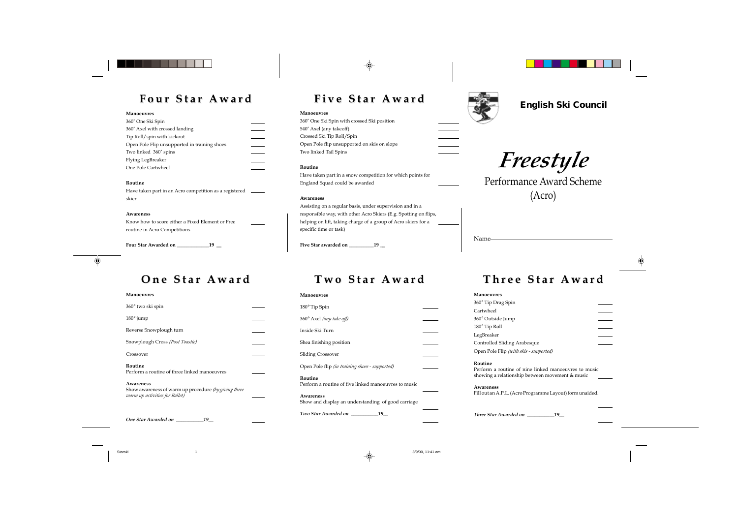## **One Star Award One Star Award Two Star Award Two Star Award Three Star Award Three Star Award**

### **Manoeuvres**

| 360° two ski spin                                                                                   |  |
|-----------------------------------------------------------------------------------------------------|--|
| 180° jump                                                                                           |  |
| Reverse Snowplough turn                                                                             |  |
| Snowplough Cross (Post Toastie)                                                                     |  |
| Crossover                                                                                           |  |
| Routine<br>Perform a routine of three linked manoeuvres                                             |  |
| Awareness<br>Show awareness of warm up procedure (by giving three<br>warm up activities for Ballet) |  |

**Routine** Perform a routine of nine linked mar showing a relationship between mover

**Awareness** Fill out an A.P.L. (Acro Programme Layout)

*One Star Awarded on* 

*\_\_\_\_\_\_\_\_\_\_\_19\_\_*

### **Manoeuvres**

360° Tip Drag Spin Cartwheel 360° Outside Jump 180° Tip Roll LegBreaker Controlled Sliding Arabesque Open Pole Flip *(with skis - supported)*

*Three Star Awarded on \_\_\_\_\_\_\_\_\_\_\_19\_\_*

| Manoeuvres                                                      |  |
|-----------------------------------------------------------------|--|
| $180^\circ$ Tip Spin                                            |  |
| 360° Axel (any take off)                                        |  |
| Inside Ski Turn                                                 |  |
| Shea finishing position                                         |  |
| <b>Sliding Crossover</b>                                        |  |
| Open Pole flip <i>(in training shoes - supported)</i>           |  |
| Routine<br>Perform a routine of five linked manoeuvres to music |  |
| Awareness<br>Show and display an understanding of good carriage |  |
| Two Star Awarded on<br>19                                       |  |





Have taken part in an Acro competition as a registered \_\_\_\_\_ skier

Name

# **English Ski Council Four Star Award Four Star Award Five Star Award Five Star Award**

 $\spadesuit$ 

### **Manoeuvres**

360˚ One Ski Spin with crossed Ski position 540˚ Axel (any takeoff) Crossed Ski Tip Roll/Spin Open Pole flip unsupported on skis on slope Two linked Tail Spins

### **Routine**

Have taken part in a snow competition for which points for England Squad could be awarded

### **Awareness**

Assisting on a regular basis, under supervision and in a responsible way, with other Acro Skiers (E.g. Spotting on flips, helping on lift, taking charge of a group of Acro skiers for a specific time or task)

**Five Star awarded on \_\_\_\_\_\_\_\_\_\_19 \_\_**

### **Manoeuvres**

| 360° One Ski Spin                            |  |
|----------------------------------------------|--|
| 360° Axel with crossed landing               |  |
| Tip Roll/spin with kickout                   |  |
| Open Pole Flip unsupported in training shoes |  |
| Two linked 360° spins                        |  |
| Flying LegBreaker                            |  |
| One Pole Cartwheel                           |  |

**Routine**

### **Awareness**

Know how to score either a Fixed Element or Free routine in Acro Competitions

**Four Star Awarded on \_\_\_\_\_\_\_\_\_\_\_\_\_19 \_\_**



*Freestyle*

Performance Award Scheme (Acro)

Starski 1 8/9/00, 11:41 am



| Award                             |  |  |
|-----------------------------------|--|--|
|                                   |  |  |
|                                   |  |  |
| noeuvres to music<br>nent & music |  |  |
| out) form unaided.                |  |  |
| ,                                 |  |  |
|                                   |  |  |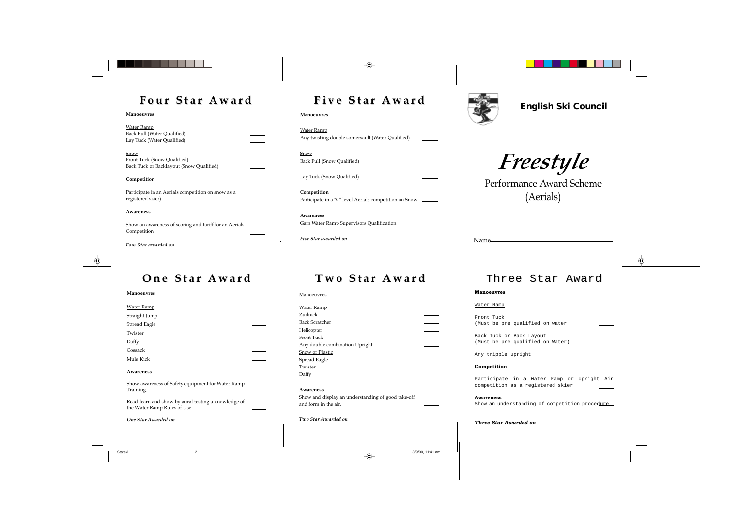| r<br>аг |
|---------|
|---------|

## **English Ski Council Four Star Award Four Star Award Five Star Award Five Star Award**

◈

| Manoeuvres |
|------------|
|------------|

### **Snow** Back Full (Snow Qualified)

**Competition** Participate in a "C" level Aerials competition on Snow \_\_\_\_\_\_

| <u>Water Ramp</u>                                |
|--------------------------------------------------|
| Any twisting double somersault (Water Qualified) |

Lay Tuck (Snow Qualified)

**Awareness** Gain Water Ramp Supervisors Qualification

| Water Ramp<br>Back Full (Water Qualified)<br>Lay Tuck (Water Qualified)         |  |
|---------------------------------------------------------------------------------|--|
| Snow<br>Front Tuck (Snow Qualified)<br>Back Tuck or Backlayout (Snow Qualified) |  |
| Competition                                                                     |  |
| Participate in an Aerials competition on snow as a<br>registered skier)         |  |
| Awareness                                                                       |  |
| Show an awareness of scoring and tariff for an Aerials<br>Competition           |  |
| Four Star awarded on                                                            |  |



## **One Star Award Two Star Award Three Star Award**

*Five Star awarded on*



| English |
|---------|
|---------|

**Manoeuvres**

*Freestyle*

Performance Award Scheme (Aerials)

### **Manoeuvres**

| <b>Water Ramp</b>                                                                  |  |
|------------------------------------------------------------------------------------|--|
| Straight Jump                                                                      |  |
| Spread Eagle                                                                       |  |
| Twister                                                                            |  |
| Daffy                                                                              |  |
| Cossack                                                                            |  |
| Mule Kick                                                                          |  |
| Awareness                                                                          |  |
| Show awareness of Safety equipment for Water Ramp<br>Training.                     |  |
| Read learn and show by aural testing a knowledge of<br>the Water Ramp Rules of Use |  |
| One Star Awarded on                                                                |  |
|                                                                                    |  |



### **Manoeuvres**

### Water Ramp

Front Tuck (Must be pre qualified on water Back Tuck or Back Layout (Must be pre qualified on Water)

Any tripple upright

### **Competition**

Participate in a Water Ramp or Upright Air competition as a registered skier

**Awareness** Show an understanding of competition procedure

*Three Star Awarded on*





Manoeuvres

| <b>Water Ramp</b>                                  |  |
|----------------------------------------------------|--|
| Zudnick                                            |  |
| <b>Back Scratcher</b>                              |  |
| Helicopter                                         |  |
| Front Tuck                                         |  |
| Any double combination Upright                     |  |
| Snow or Plastic                                    |  |
| Spread Eagle                                       |  |
| Twister                                            |  |
| Daffy                                              |  |
|                                                    |  |
| Awareness                                          |  |
| Show and display an understanding of good take-off |  |
| and form in the air.                               |  |
|                                                    |  |
|                                                    |  |

*Two Star Awarded on*

Starski 2 8/9/00, 11:41 am